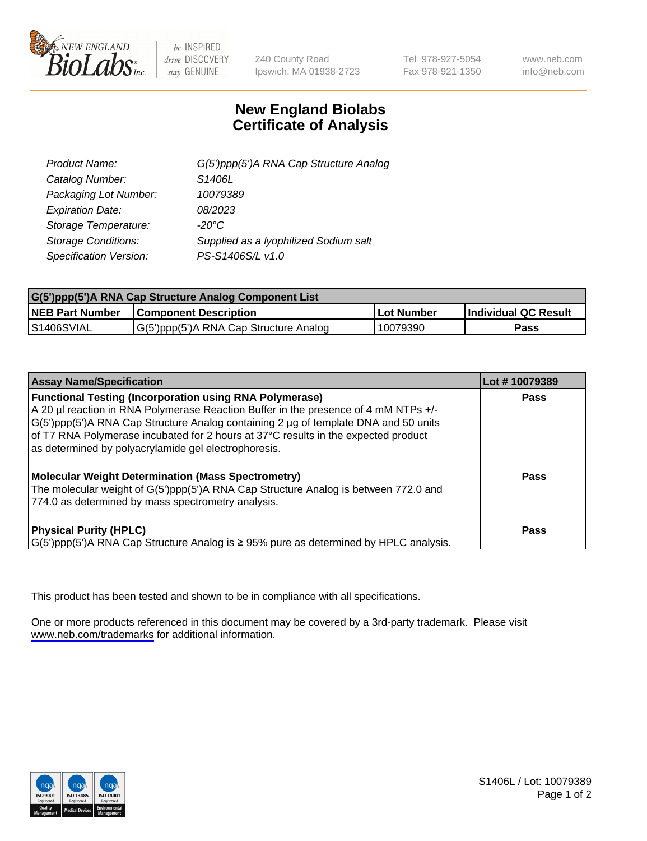

be INSPIRED drive DISCOVERY stay GENUINE

240 County Road Ipswich, MA 01938-2723 Tel 978-927-5054 Fax 978-921-1350

www.neb.com info@neb.com

## **New England Biolabs Certificate of Analysis**

| G(5')ppp(5')A RNA Cap Structure Analog |
|----------------------------------------|
| S1406L                                 |
| 10079389                               |
| 08/2023                                |
| $-20^{\circ}$ C                        |
| Supplied as a lyophilized Sodium salt  |
| PS-S1406S/L v1.0                       |
|                                        |

| G(5')ppp(5')A RNA Cap Structure Analog Component List |                                        |            |                             |  |
|-------------------------------------------------------|----------------------------------------|------------|-----------------------------|--|
| <b>NEB Part Number</b>                                | <b>Component Description</b>           | Lot Number | <b>Individual QC Result</b> |  |
| <b>S1406SVIAL</b>                                     | G(5')ppp(5')A RNA Cap Structure Analog | 10079390   | Pass                        |  |

| <b>Assay Name/Specification</b>                                                                                                                                                                                                                                                                                                                                                            | Lot #10079389 |
|--------------------------------------------------------------------------------------------------------------------------------------------------------------------------------------------------------------------------------------------------------------------------------------------------------------------------------------------------------------------------------------------|---------------|
| <b>Functional Testing (Incorporation using RNA Polymerase)</b><br>A 20 µl reaction in RNA Polymerase Reaction Buffer in the presence of 4 mM NTPs +/-<br>G(5')ppp(5')A RNA Cap Structure Analog containing 2 µg of template DNA and 50 units<br>of T7 RNA Polymerase incubated for 2 hours at 37°C results in the expected product<br>as determined by polyacrylamide gel electrophoresis. | Pass          |
| <b>Molecular Weight Determination (Mass Spectrometry)</b><br>The molecular weight of G(5')ppp(5')A RNA Cap Structure Analog is between 772.0 and<br>774.0 as determined by mass spectrometry analysis.                                                                                                                                                                                     | Pass          |
| <b>Physical Purity (HPLC)</b><br>$\vert G(5)$ ppp(5')A RNA Cap Structure Analog is $\geq 95\%$ pure as determined by HPLC analysis.                                                                                                                                                                                                                                                        | Pass          |

This product has been tested and shown to be in compliance with all specifications.

One or more products referenced in this document may be covered by a 3rd-party trademark. Please visit <www.neb.com/trademarks>for additional information.



S1406L / Lot: 10079389 Page 1 of 2